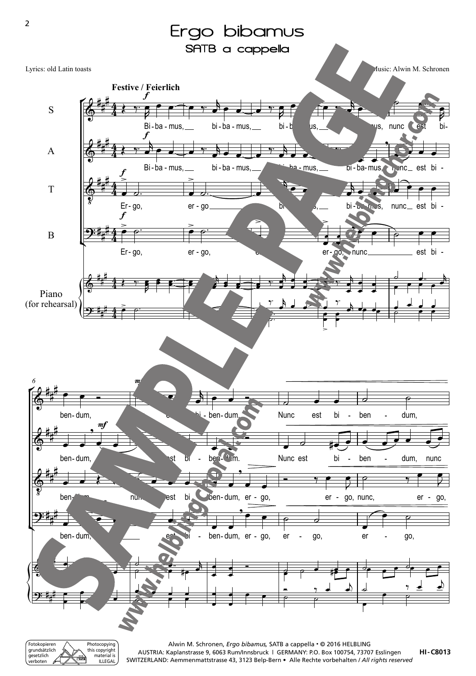

grundsätzlich gesetzlich .<br>erboten Photocopying this copyright material is ILLEGAL

**HI-C8013** AUSTRIA: Kaplanstrasse 9, 6063 Rum/Innsbruck | GERMANY: P.O. Box 100754, 73707 Esslingen SWITZERLAND: Aemmenmattstrasse 43, 3123 Belp-Bern • Alle Rechte vorbehalten / *All rights reserved*